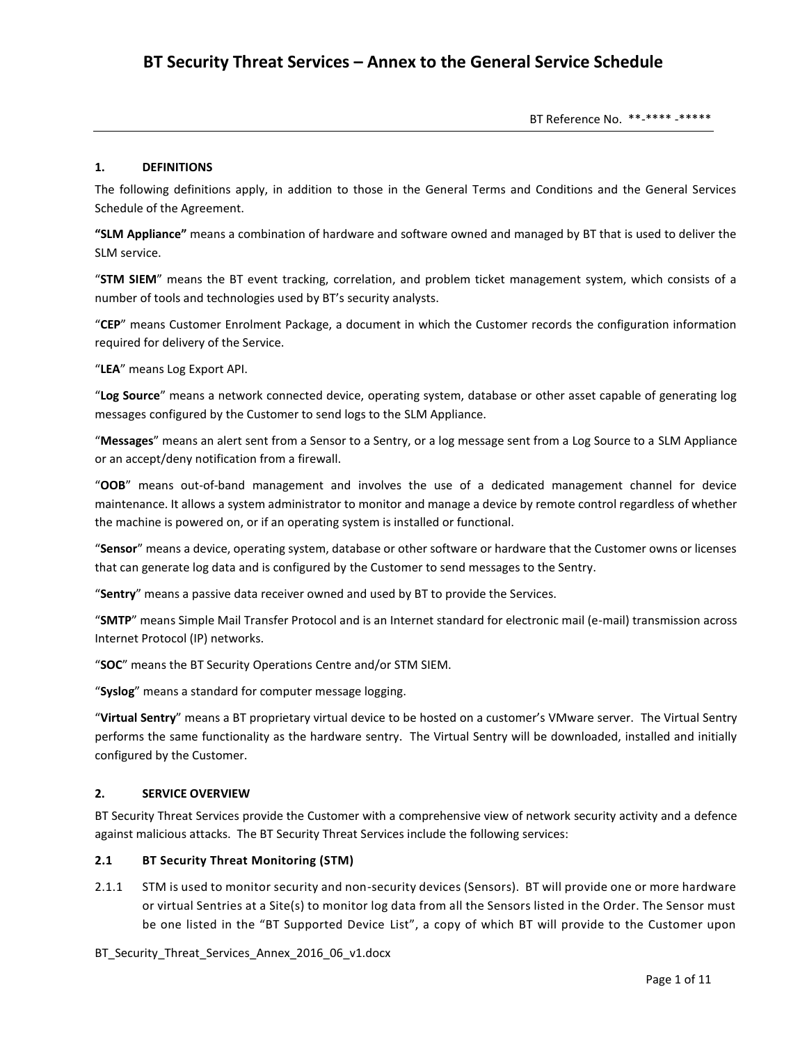BT Reference No. \*\*-\*\*\*\* -\*\*\*\*\*

#### **1. DEFINITIONS**

The following definitions apply, in addition to those in the General Terms and Conditions and the General Services Schedule of the Agreement.

**"SLM Appliance"** means a combination of hardware and software owned and managed by BT that is used to deliver the SLM service.

"**STM SIEM**" means the BT event tracking, correlation, and problem ticket management system, which consists of a number of tools and technologies used by BT's security analysts.

"**CEP**" means Customer Enrolment Package, a document in which the Customer records the configuration information required for delivery of the Service.

"**LEA**" means Log Export API.

"**Log Source**" means a network connected device, operating system, database or other asset capable of generating log messages configured by the Customer to send logs to the SLM Appliance.

"**Messages**" means an alert sent from a Sensor to a Sentry, or a log message sent from a Log Source to a SLM Appliance or an accept/deny notification from a firewall.

"**OOB**" means out-of-band management and involves the use of a dedicated management channel for device maintenance. It allows a system administrator to monitor and manage a device by remote control regardless of whether the machine is powered on, or if an operating system is installed or functional.

"**Sensor**" means a device, operating system, database or other software or hardware that the Customer owns or licenses that can generate log data and is configured by the Customer to send messages to the Sentry.

"**Sentry**" means a passive data receiver owned and used by BT to provide the Services.

"**SMTP**" means Simple Mail Transfer Protocol and is an Internet standard for electronic mail (e-mail) transmission across Internet Protocol (IP) networks.

"**SOC**" means the BT Security Operations Centre and/or STM SIEM.

"**Syslog**" means a standard for computer message logging.

"**Virtual Sentry**" means a BT proprietary virtual device to be hosted on a customer's VMware server. The Virtual Sentry performs the same functionality as the hardware sentry. The Virtual Sentry will be downloaded, installed and initially configured by the Customer.

#### **2. SERVICE OVERVIEW**

BT Security Threat Services provide the Customer with a comprehensive view of network security activity and a defence against malicious attacks. The BT Security Threat Services include the following services:

#### **2.1 BT Security Threat Monitoring (STM)**

2.1.1 STM is used to monitor security and non-security devices (Sensors). BT will provide one or more hardware or virtual Sentries at a Site(s) to monitor log data from all the Sensors listed in the Order. The Sensor must be one listed in the "BT Supported Device List", a copy of which BT will provide to the Customer upon

BT Security Threat Services Annex 2016 06 v1.docx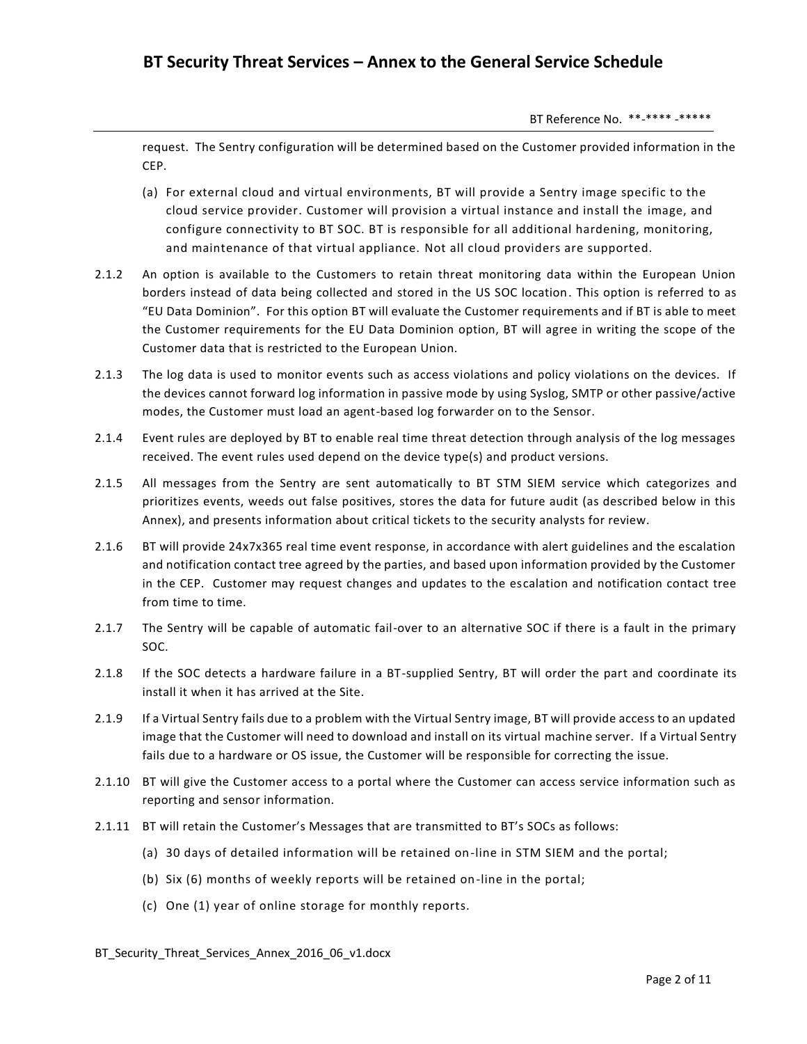BT Reference No. \*\*-\*\*\*\* -\*\*\*\*\*

request. The Sentry configuration will be determined based on the Customer provided information in the CEP.

- (a) For external cloud and virtual environments, BT will provide a Sentry image specific to the cloud service provider. Customer will provision a virtual instance and install the image, and configure connectivity to BT SOC. BT is responsible for all additional hardening, monitoring, and maintenance of that virtual appliance. Not all cloud providers are supported.
- 2.1.2 An option is available to the Customers to retain threat monitoring data within the European Union borders instead of data being collected and stored in the US SOC location. This option is referred to as "EU Data Dominion". For this option BT will evaluate the Customer requirements and if BT is able to meet the Customer requirements for the EU Data Dominion option, BT will agree in writing the scope of the Customer data that is restricted to the European Union.
- 2.1.3 The log data is used to monitor events such as access violations and policy violations on the devices. If the devices cannot forward log information in passive mode by using Syslog, SMTP or other passive/active modes, the Customer must load an agent-based log forwarder on to the Sensor.
- 2.1.4 Event rules are deployed by BT to enable real time threat detection through analysis of the log messages received. The event rules used depend on the device type(s) and product versions.
- 2.1.5 All messages from the Sentry are sent automatically to BT STM SIEM service which categorizes and prioritizes events, weeds out false positives, stores the data for future audit (as described below in this Annex), and presents information about critical tickets to the security analysts for review.
- 2.1.6 BT will provide 24x7x365 real time event response, in accordance with alert guidelines and the escalation and notification contact tree agreed by the parties, and based upon information provided by the Customer in the CEP. Customer may request changes and updates to the escalation and notification contact tree from time to time.
- 2.1.7 The Sentry will be capable of automatic fail-over to an alternative SOC if there is a fault in the primary SOC.
- 2.1.8 If the SOC detects a hardware failure in a BT-supplied Sentry, BT will order the part and coordinate its install it when it has arrived at the Site.
- 2.1.9 If a Virtual Sentry fails due to a problem with the Virtual Sentry image, BT will provide access to an updated image that the Customer will need to download and install on its virtual machine server. If a Virtual Sentry fails due to a hardware or OS issue, the Customer will be responsible for correcting the issue.
- 2.1.10 BT will give the Customer access to a portal where the Customer can access service information such as reporting and sensor information.
- 2.1.11 BT will retain the Customer's Messages that are transmitted to BT's SOCs as follows:
	- (a) 30 days of detailed information will be retained on-line in STM SIEM and the portal;
	- (b) Six (6) months of weekly reports will be retained on-line in the portal;
	- (c) One (1) year of online storage for monthly reports.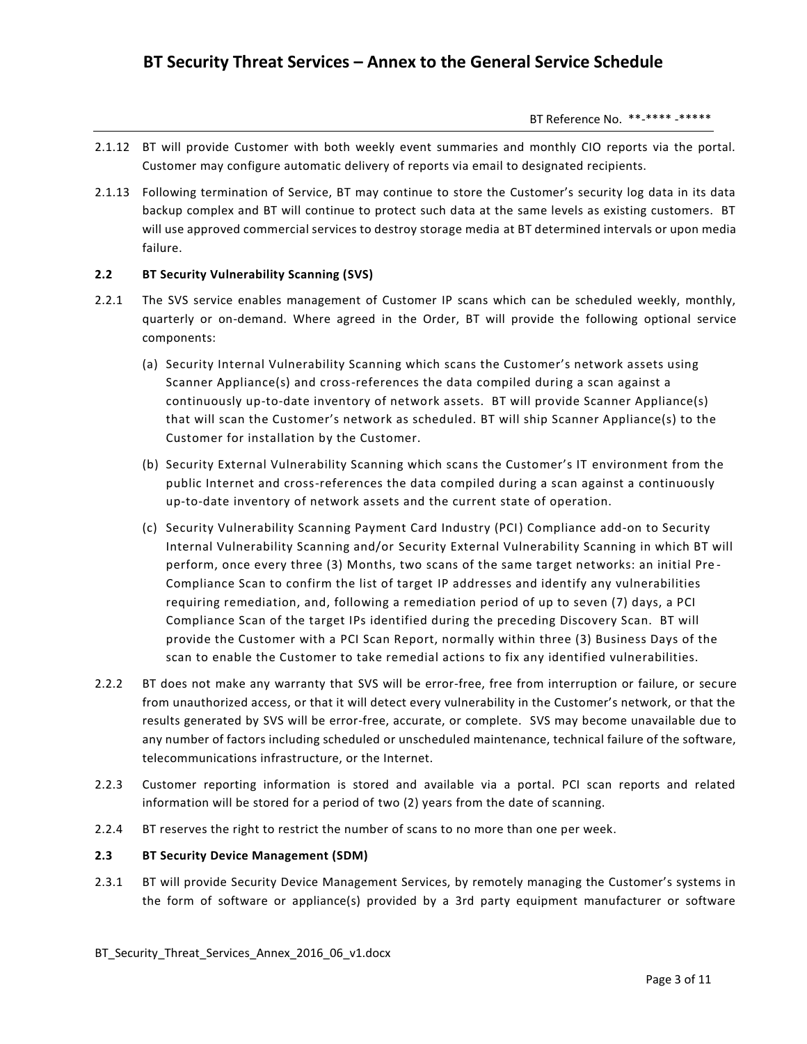- 2.1.12 BT will provide Customer with both weekly event summaries and monthly CIO reports via the portal. Customer may configure automatic delivery of reports via email to designated recipients.
- 2.1.13 Following termination of Service, BT may continue to store the Customer's security log data in its data backup complex and BT will continue to protect such data at the same levels as existing customers. BT will use approved commercial services to destroy storage media at BT determined intervals or upon media failure.

# **2.2 BT Security Vulnerability Scanning (SVS)**

- 2.2.1 The SVS service enables management of Customer IP scans which can be scheduled weekly, monthly, quarterly or on-demand. Where agreed in the Order, BT will provide the following optional service components:
	- (a) Security Internal Vulnerability Scanning which scans the Customer's network assets using Scanner Appliance(s) and cross-references the data compiled during a scan against a continuously up-to-date inventory of network assets. BT will provide Scanner Appliance(s) that will scan the Customer's network as scheduled. BT will ship Scanner Appliance(s) to the Customer for installation by the Customer.
	- (b) Security External Vulnerability Scanning which scans the Customer's IT environment from the public Internet and cross-references the data compiled during a scan against a continuously up-to-date inventory of network assets and the current state of operation.
	- (c) Security Vulnerability Scanning Payment Card Industry (PCI) Compliance add-on to Security Internal Vulnerability Scanning and/or Security External Vulnerability Scanning in which BT will perform, once every three (3) Months, two scans of the same target networks: an initial Pre - Compliance Scan to confirm the list of target IP addresses and identify any vulnerabilities requiring remediation, and, following a remediation period of up to seven (7) days, a PCI Compliance Scan of the target IPs identified during the preceding Discovery Scan. BT will provide the Customer with a PCI Scan Report, normally within three (3) Business Days of the scan to enable the Customer to take remedial actions to fix any identified vulnerabilities.
- 2.2.2 BT does not make any warranty that SVS will be error-free, free from interruption or failure, or secure from unauthorized access, or that it will detect every vulnerability in the Customer's network, or that the results generated by SVS will be error-free, accurate, or complete. SVS may become unavailable due to any number of factors including scheduled or unscheduled maintenance, technical failure of the software, telecommunications infrastructure, or the Internet.
- 2.2.3 Customer reporting information is stored and available via a portal. PCI scan reports and related information will be stored for a period of two (2) years from the date of scanning.
- 2.2.4 BT reserves the right to restrict the number of scans to no more than one per week.

#### **2.3 BT Security Device Management (SDM)**

2.3.1 BT will provide Security Device Management Services, by remotely managing the Customer's systems in the form of software or appliance(s) provided by a 3rd party equipment manufacturer or software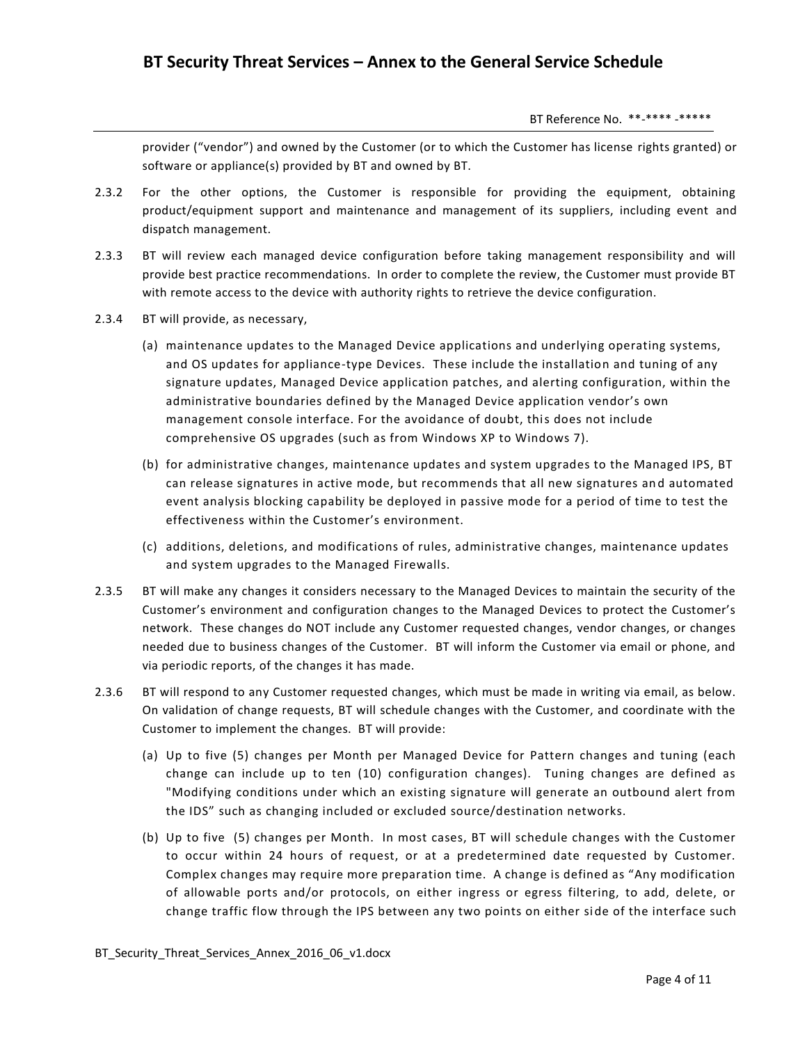provider ("vendor") and owned by the Customer (or to which the Customer has license rights granted) or software or appliance(s) provided by BT and owned by BT.

- 2.3.2 For the other options, the Customer is responsible for providing the equipment, obtaining product/equipment support and maintenance and management of its suppliers, including event and dispatch management.
- 2.3.3 BT will review each managed device configuration before taking management responsibility and will provide best practice recommendations. In order to complete the review, the Customer must provide BT with remote access to the device with authority rights to retrieve the device configuration.
- 2.3.4 BT will provide, as necessary,
	- (a) maintenance updates to the Managed Device applications and underlying operating systems, and OS updates for appliance-type Devices. These include the installation and tuning of any signature updates, Managed Device application patches, and alerting configuration, within the administrative boundaries defined by the Managed Device application vendor's own management console interface. For the avoidance of doubt, this does not include comprehensive OS upgrades (such as from Windows XP to Windows 7).
	- (b) for administrative changes, maintenance updates and system upgrades to the Managed IPS, BT can release signatures in active mode, but recommends that all new signatures an d automated event analysis blocking capability be deployed in passive mode for a period of time to test the effectiveness within the Customer's environment.
	- (c) additions, deletions, and modifications of rules, administrative changes, maintenance updates and system upgrades to the Managed Firewalls.
- 2.3.5 BT will make any changes it considers necessary to the Managed Devices to maintain the security of the Customer's environment and configuration changes to the Managed Devices to protect the Customer's network. These changes do NOT include any Customer requested changes, vendor changes, or changes needed due to business changes of the Customer. BT will inform the Customer via email or phone, and via periodic reports, of the changes it has made.
- 2.3.6 BT will respond to any Customer requested changes, which must be made in writing via email, as below. On validation of change requests, BT will schedule changes with the Customer, and coordinate with the Customer to implement the changes. BT will provide:
	- (a) Up to five (5) changes per Month per Managed Device for Pattern changes and tuning (each change can include up to ten (10) configuration changes). Tuning changes are defined as "Modifying conditions under which an existing signature will generate an outbound alert from the IDS" such as changing included or excluded source/destination networks.
	- (b) Up to five (5) changes per Month. In most cases, BT will schedule changes with the Customer to occur within 24 hours of request, or at a predetermined date requested by Customer. Complex changes may require more preparation time. A change is defined as "Any modification of allowable ports and/or protocols, on either ingress or egress filtering, to add, delete, or change traffic flow through the IPS between any two points on either side of the interface such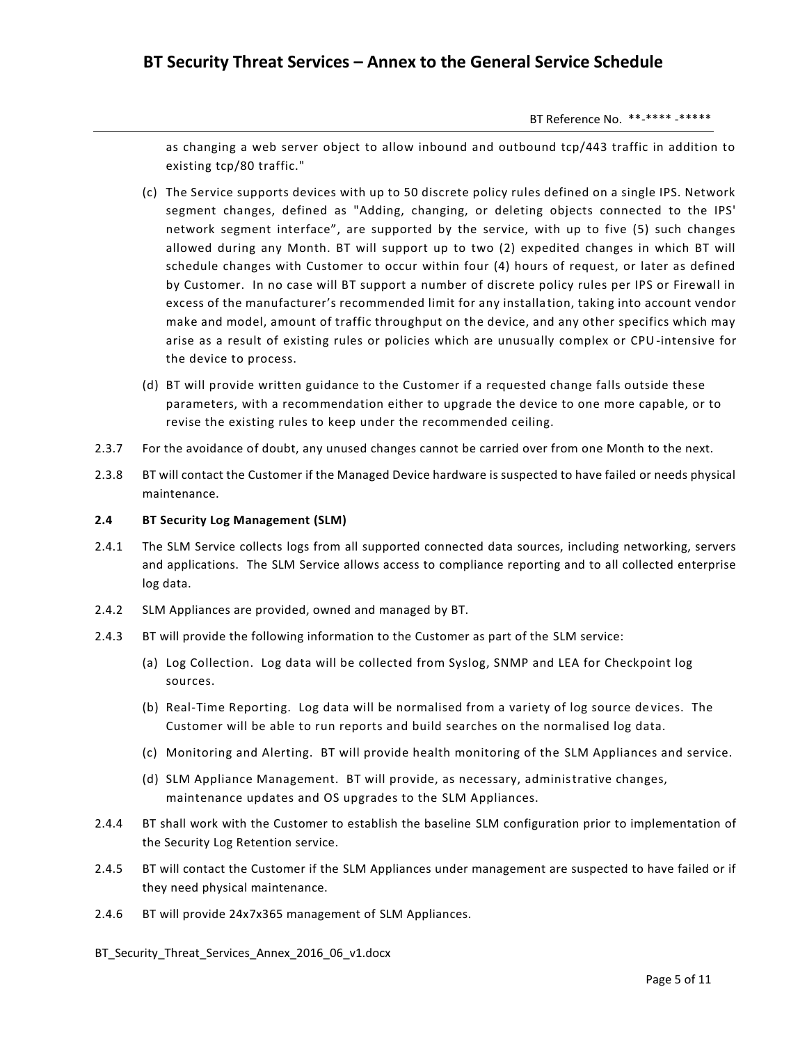as changing a web server object to allow inbound and outbound tcp/443 traffic in addition to existing tcp/80 traffic."

- (c) The Service supports devices with up to 50 discrete policy rules defined on a single IPS. Network segment changes, defined as "Adding, changing, or deleting objects connected to the IPS' network segment interface", are supported by the service, with up to five (5) such changes allowed during any Month. BT will support up to two (2) expedited changes in which BT will schedule changes with Customer to occur within four (4) hours of request, or later as defined by Customer. In no case will BT support a number of discrete policy rules per IPS or Firewall in excess of the manufacturer's recommended limit for any installation, taking into account vendor make and model, amount of traffic throughput on the device, and any other specifics which may arise as a result of existing rules or policies which are unusually complex or CPU-intensive for the device to process.
- (d) BT will provide written guidance to the Customer if a requested change falls outside these parameters, with a recommendation either to upgrade the device to one more capable, or to revise the existing rules to keep under the recommended ceiling.
- 2.3.7 For the avoidance of doubt, any unused changes cannot be carried over from one Month to the next.
- 2.3.8 BT will contact the Customer if the Managed Device hardware is suspected to have failed or needs physical maintenance.

#### **2.4 BT Security Log Management (SLM)**

- 2.4.1 The SLM Service collects logs from all supported connected data sources, including networking, servers and applications. The SLM Service allows access to compliance reporting and to all collected enterprise log data.
- 2.4.2 SLM Appliances are provided, owned and managed by BT.
- 2.4.3 BT will provide the following information to the Customer as part of the SLM service:
	- (a) Log Collection. Log data will be collected from Syslog, SNMP and LEA for Checkpoint log sources.
	- (b) Real-Time Reporting. Log data will be normalised from a variety of log source de vices. The Customer will be able to run reports and build searches on the normalised log data.
	- (c) Monitoring and Alerting. BT will provide health monitoring of the SLM Appliances and service.
	- (d) SLM Appliance Management. BT will provide, as necessary, administrative changes, maintenance updates and OS upgrades to the SLM Appliances.
- 2.4.4 BT shall work with the Customer to establish the baseline SLM configuration prior to implementation of the Security Log Retention service.
- 2.4.5 BT will contact the Customer if the SLM Appliances under management are suspected to have failed or if they need physical maintenance.
- 2.4.6 BT will provide 24x7x365 management of SLM Appliances.
- BT Security Threat Services Annex 2016 06 v1.docx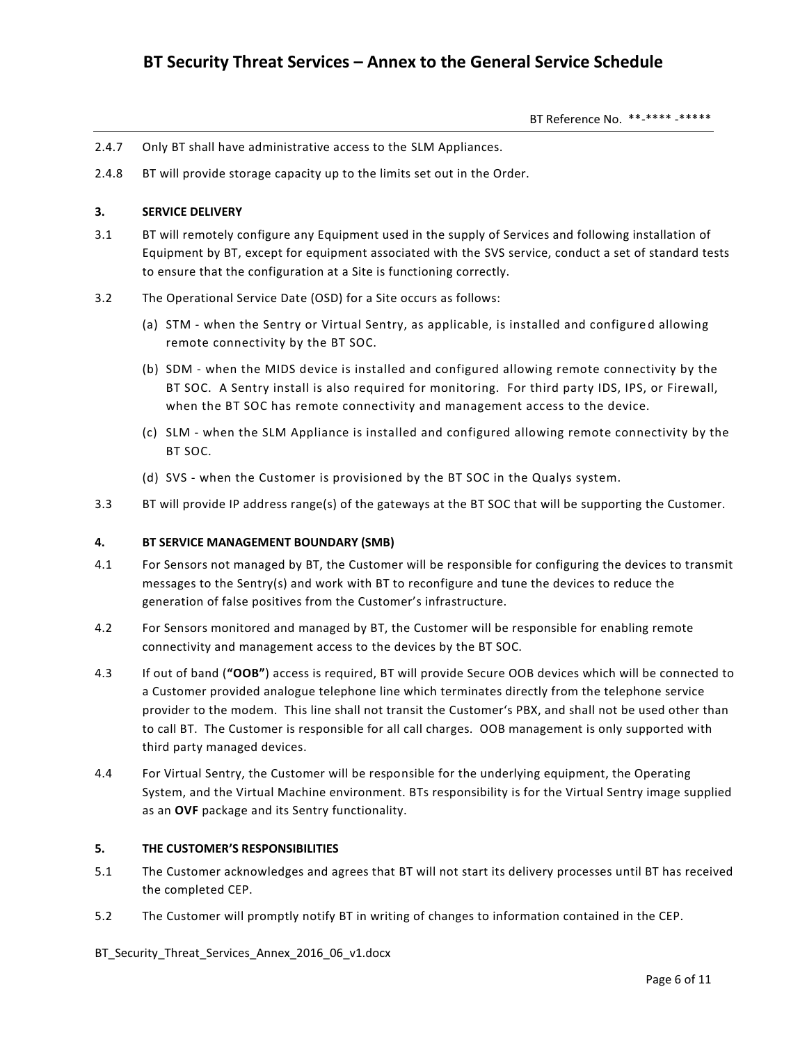- 2.4.7 Only BT shall have administrative access to the SLM Appliances.
- 2.4.8 BT will provide storage capacity up to the limits set out in the Order.

# **3. SERVICE DELIVERY**

- 3.1 BT will remotely configure any Equipment used in the supply of Services and following installation of Equipment by BT, except for equipment associated with the SVS service, conduct a set of standard tests to ensure that the configuration at a Site is functioning correctly.
- 3.2 The Operational Service Date (OSD) for a Site occurs as follows:
	- (a) STM when the Sentry or Virtual Sentry, as applicable, is installed and configure d allowing remote connectivity by the BT SOC.
	- (b) SDM when the MIDS device is installed and configured allowing remote connectivity by the BT SOC. A Sentry install is also required for monitoring. For third party IDS, IPS, or Firewall, when the BT SOC has remote connectivity and management access to the device.
	- (c) SLM when the SLM Appliance is installed and configured allowing remote connectivity by the BT SOC.
	- (d) SVS when the Customer is provisioned by the BT SOC in the Qualys system.
- 3.3 BT will provide IP address range(s) of the gateways at the BT SOC that will be supporting the Customer.

#### **4. BT SERVICE MANAGEMENT BOUNDARY (SMB)**

- 4.1 For Sensors not managed by BT, the Customer will be responsible for configuring the devices to transmit messages to the Sentry(s) and work with BT to reconfigure and tune the devices to reduce the generation of false positives from the Customer's infrastructure.
- 4.2 For Sensors monitored and managed by BT, the Customer will be responsible for enabling remote connectivity and management access to the devices by the BT SOC.
- 4.3 If out of band (**"OOB"**) access is required, BT will provide Secure OOB devices which will be connected to a Customer provided analogue telephone line which terminates directly from the telephone service provider to the modem. This line shall not transit the Customer's PBX, and shall not be used other than to call BT. The Customer is responsible for all call charges. OOB management is only supported with third party managed devices.
- 4.4 For Virtual Sentry, the Customer will be responsible for the underlying equipment, the Operating System, and the Virtual Machine environment. BTs responsibility is for the Virtual Sentry image supplied as an **OVF** package and its Sentry functionality.

#### **5. THE CUSTOMER'S RESPONSIBILITIES**

- 5.1 The Customer acknowledges and agrees that BT will not start its delivery processes until BT has received the completed CEP.
- 5.2 The Customer will promptly notify BT in writing of changes to information contained in the CEP.

BT Security Threat Services Annex 2016 06 v1.docx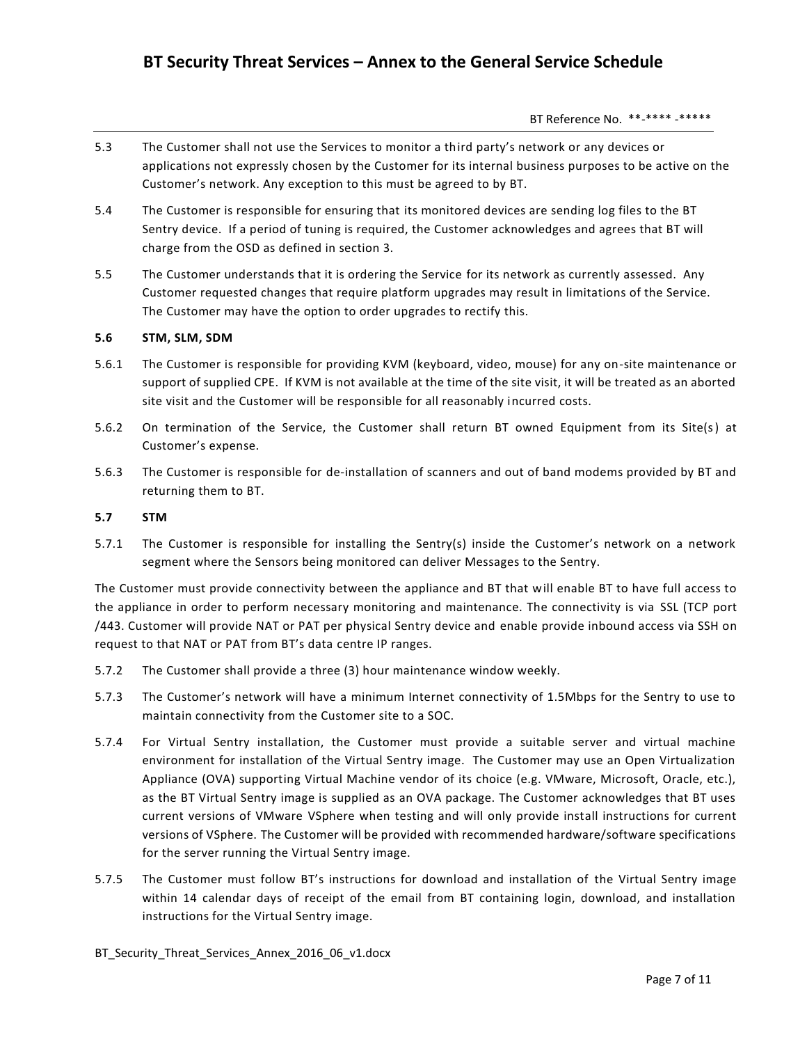- 5.3 The Customer shall not use the Services to monitor a third party's network or any devices or applications not expressly chosen by the Customer for its internal business purposes to be active on the Customer's network. Any exception to this must be agreed to by BT.
- 5.4 The Customer is responsible for ensuring that its monitored devices are sending log files to the BT Sentry device. If a period of tuning is required, the Customer acknowledges and agrees that BT will charge from the OSD as defined in section 3.
- 5.5 The Customer understands that it is ordering the Service for its network as currently assessed. Any Customer requested changes that require platform upgrades may result in limitations of the Service. The Customer may have the option to order upgrades to rectify this.

# **5.6 STM, SLM, SDM**

- 5.6.1 The Customer is responsible for providing KVM (keyboard, video, mouse) for any on-site maintenance or support of supplied CPE. If KVM is not available at the time of the site visit, it will be treated as an aborted site visit and the Customer will be responsible for all reasonably incurred costs.
- 5.6.2 On termination of the Service, the Customer shall return BT owned Equipment from its Site(s) at Customer's expense.
- 5.6.3 The Customer is responsible for de-installation of scanners and out of band modems provided by BT and returning them to BT.

#### **5.7 STM**

5.7.1 The Customer is responsible for installing the Sentry(s) inside the Customer's network on a network segment where the Sensors being monitored can deliver Messages to the Sentry.

The Customer must provide connectivity between the appliance and BT that will enable BT to have full access to the appliance in order to perform necessary monitoring and maintenance. The connectivity is via SSL (TCP port /443. Customer will provide NAT or PAT per physical Sentry device and enable provide inbound access via SSH on request to that NAT or PAT from BT's data centre IP ranges.

- 5.7.2 The Customer shall provide a three (3) hour maintenance window weekly.
- 5.7.3 The Customer's network will have a minimum Internet connectivity of 1.5Mbps for the Sentry to use to maintain connectivity from the Customer site to a SOC.
- 5.7.4 For Virtual Sentry installation, the Customer must provide a suitable server and virtual machine environment for installation of the Virtual Sentry image. The Customer may use an Open Virtualization Appliance (OVA) supporting Virtual Machine vendor of its choice (e.g. VMware, Microsoft, Oracle, etc.), as the BT Virtual Sentry image is supplied as an OVA package. The Customer acknowledges that BT uses current versions of VMware VSphere when testing and will only provide install instructions for current versions of VSphere. The Customer will be provided with recommended hardware/software specifications for the server running the Virtual Sentry image.
- 5.7.5 The Customer must follow BT's instructions for download and installation of the Virtual Sentry image within 14 calendar days of receipt of the email from BT containing login, download, and installation instructions for the Virtual Sentry image.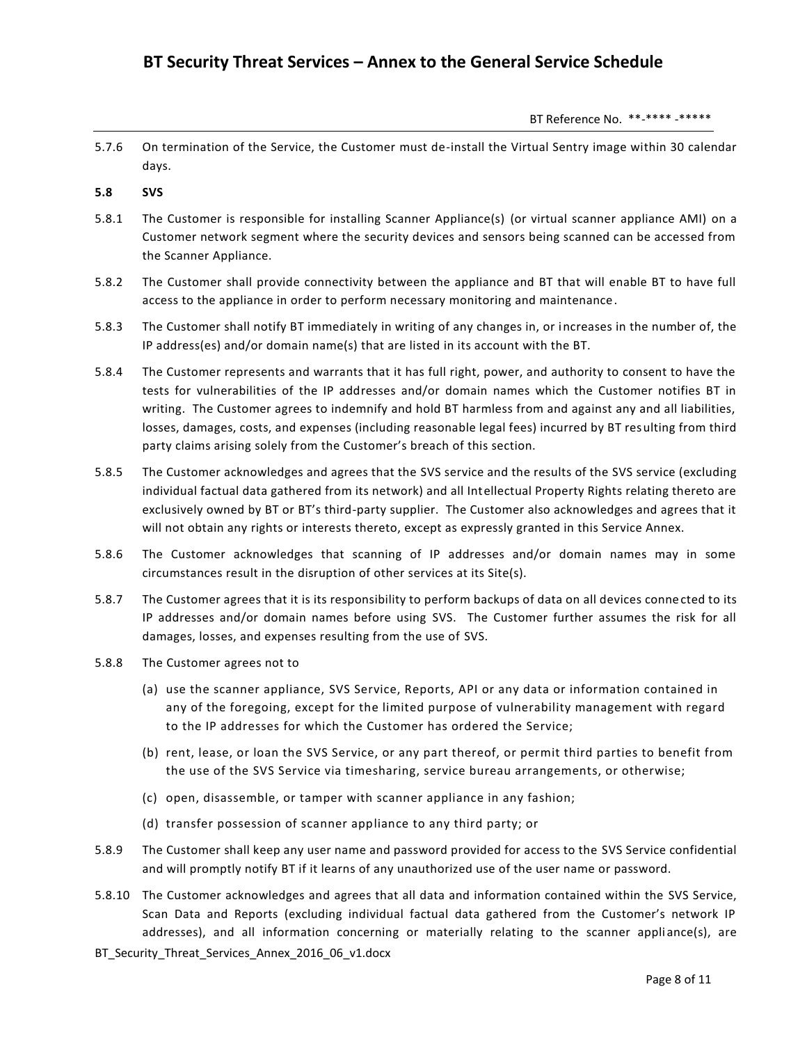5.7.6 On termination of the Service, the Customer must de-install the Virtual Sentry image within 30 calendar days.

# **5.8 SVS**

- 5.8.1 The Customer is responsible for installing Scanner Appliance(s) (or virtual scanner appliance AMI) on a Customer network segment where the security devices and sensors being scanned can be accessed from the Scanner Appliance.
- 5.8.2 The Customer shall provide connectivity between the appliance and BT that will enable BT to have full access to the appliance in order to perform necessary monitoring and maintenance.
- 5.8.3 The Customer shall notify BT immediately in writing of any changes in, or increases in the number of, the IP address(es) and/or domain name(s) that are listed in its account with the BT.
- 5.8.4 The Customer represents and warrants that it has full right, power, and authority to consent to have the tests for vulnerabilities of the IP addresses and/or domain names which the Customer notifies BT in writing. The Customer agrees to indemnify and hold BT harmless from and against any and all liabilities, losses, damages, costs, and expenses (including reasonable legal fees) incurred by BT resulting from third party claims arising solely from the Customer's breach of this section.
- 5.8.5 The Customer acknowledges and agrees that the SVS service and the results of the SVS service (excluding individual factual data gathered from its network) and all Intellectual Property Rights relating thereto are exclusively owned by BT or BT's third-party supplier. The Customer also acknowledges and agrees that it will not obtain any rights or interests thereto, except as expressly granted in this Service Annex.
- 5.8.6 The Customer acknowledges that scanning of IP addresses and/or domain names may in some circumstances result in the disruption of other services at its Site(s).
- 5.8.7 The Customer agrees that it is its responsibility to perform backups of data on all devices connected to its IP addresses and/or domain names before using SVS. The Customer further assumes the risk for all damages, losses, and expenses resulting from the use of SVS.
- 5.8.8 The Customer agrees not to
	- (a) use the scanner appliance, SVS Service, Reports, API or any data or information contained in any of the foregoing, except for the limited purpose of vulnerability management with regard to the IP addresses for which the Customer has ordered the Service;
	- (b) rent, lease, or loan the SVS Service, or any part thereof, or permit third parties to benefit from the use of the SVS Service via timesharing, service bureau arrangements, or otherwise;
	- (c) open, disassemble, or tamper with scanner appliance in any fashion;
	- (d) transfer possession of scanner appliance to any third party; or
- 5.8.9 The Customer shall keep any user name and password provided for access to the SVS Service confidential and will promptly notify BT if it learns of any unauthorized use of the user name or password.
- 5.8.10 The Customer acknowledges and agrees that all data and information contained within the SVS Service, Scan Data and Reports (excluding individual factual data gathered from the Customer's network IP addresses), and all information concerning or materially relating to the scanner appli ance(s), are
- BT Security Threat Services Annex 2016 06 v1.docx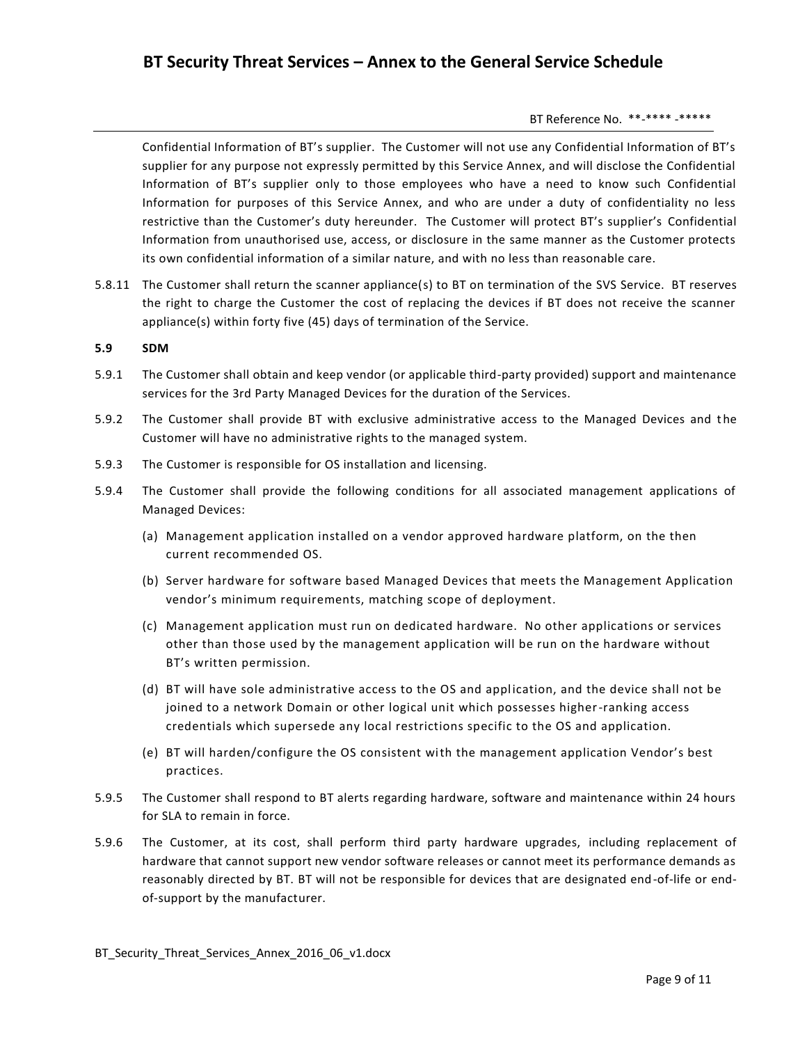Confidential Information of BT's supplier. The Customer will not use any Confidential Information of BT's supplier for any purpose not expressly permitted by this Service Annex, and will disclose the Confidential Information of BT's supplier only to those employees who have a need to know such Confidential Information for purposes of this Service Annex, and who are under a duty of confidentiality no less restrictive than the Customer's duty hereunder. The Customer will protect BT's supplier's Confidential Information from unauthorised use, access, or disclosure in the same manner as the Customer protects its own confidential information of a similar nature, and with no less than reasonable care.

5.8.11 The Customer shall return the scanner appliance(s) to BT on termination of the SVS Service. BT reserves the right to charge the Customer the cost of replacing the devices if BT does not receive the scanner appliance(s) within forty five (45) days of termination of the Service.

# **5.9 SDM**

- 5.9.1 The Customer shall obtain and keep vendor (or applicable third-party provided) support and maintenance services for the 3rd Party Managed Devices for the duration of the Services.
- 5.9.2 The Customer shall provide BT with exclusive administrative access to the Managed Devices and the Customer will have no administrative rights to the managed system.
- 5.9.3 The Customer is responsible for OS installation and licensing.
- 5.9.4 The Customer shall provide the following conditions for all associated management applications of Managed Devices:
	- (a) Management application installed on a vendor approved hardware platform, on the then current recommended OS.
	- (b) Server hardware for software based Managed Devices that meets the Management Application vendor's minimum requirements, matching scope of deployment.
	- (c) Management application must run on dedicated hardware. No other applications or services other than those used by the management application will be run on the hardware without BT's written permission.
	- (d) BT will have sole administrative access to the OS and application, and the device shall not be joined to a network Domain or other logical unit which possesses higher-ranking access credentials which supersede any local restrictions specific to the OS and application.
	- (e) BT will harden/configure the OS consistent with the management application Vendor's best practices.
- 5.9.5 The Customer shall respond to BT alerts regarding hardware, software and maintenance within 24 hours for SLA to remain in force.
- 5.9.6 The Customer, at its cost, shall perform third party hardware upgrades, including replacement of hardware that cannot support new vendor software releases or cannot meet its performance demands as reasonably directed by BT. BT will not be responsible for devices that are designated end-of-life or endof-support by the manufacturer.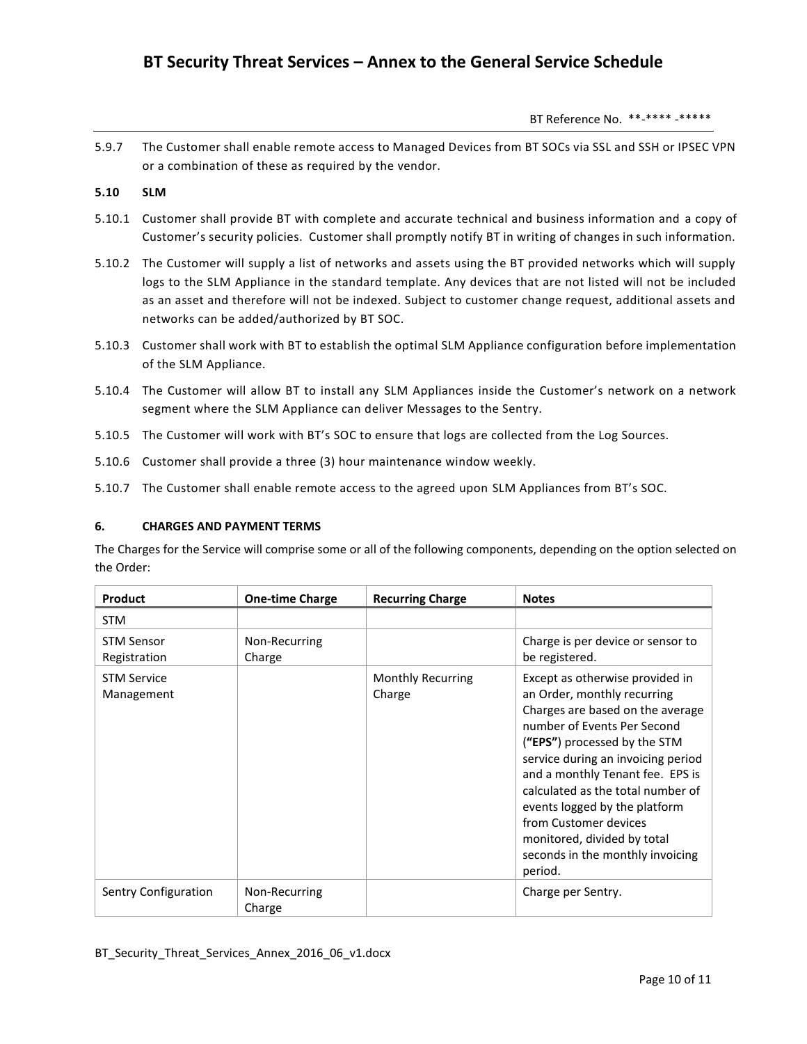BT Reference No. \*\*-\*\*\*\* -\*\*\*\*\*

5.9.7 The Customer shall enable remote access to Managed Devices from BT SOCs via SSL and SSH or IPSEC VPN or a combination of these as required by the vendor.

# **5.10 SLM**

- 5.10.1 Customer shall provide BT with complete and accurate technical and business information and a copy of Customer's security policies. Customer shall promptly notify BT in writing of changes in such information.
- 5.10.2 The Customer will supply a list of networks and assets using the BT provided networks which will supply logs to the SLM Appliance in the standard template. Any devices that are not listed will not be included as an asset and therefore will not be indexed. Subject to customer change request, additional assets and networks can be added/authorized by BT SOC.
- 5.10.3 Customer shall work with BT to establish the optimal SLM Appliance configuration before implementation of the SLM Appliance.
- 5.10.4 The Customer will allow BT to install any SLM Appliances inside the Customer's network on a network segment where the SLM Appliance can deliver Messages to the Sentry.
- 5.10.5 The Customer will work with BT's SOC to ensure that logs are collected from the Log Sources.
- 5.10.6 Customer shall provide a three (3) hour maintenance window weekly.
- 5.10.7 The Customer shall enable remote access to the agreed upon SLM Appliances from BT's SOC.

#### **6. CHARGES AND PAYMENT TERMS**

The Charges for the Service will comprise some or all of the following components, depending on the option selected on the Order:

| Product                           | <b>One-time Charge</b>  | <b>Recurring Charge</b>     | <b>Notes</b>                                                                                                                                                                                                                                                                                                                                                                                                             |
|-----------------------------------|-------------------------|-----------------------------|--------------------------------------------------------------------------------------------------------------------------------------------------------------------------------------------------------------------------------------------------------------------------------------------------------------------------------------------------------------------------------------------------------------------------|
| <b>STM</b>                        |                         |                             |                                                                                                                                                                                                                                                                                                                                                                                                                          |
| <b>STM Sensor</b><br>Registration | Non-Recurring<br>Charge |                             | Charge is per device or sensor to<br>be registered.                                                                                                                                                                                                                                                                                                                                                                      |
| <b>STM Service</b><br>Management  |                         | Monthly Recurring<br>Charge | Except as otherwise provided in<br>an Order, monthly recurring<br>Charges are based on the average<br>number of Events Per Second<br>("EPS") processed by the STM<br>service during an invoicing period<br>and a monthly Tenant fee. EPS is<br>calculated as the total number of<br>events logged by the platform<br>from Customer devices<br>monitored, divided by total<br>seconds in the monthly invoicing<br>period. |
| Sentry Configuration              | Non-Recurring<br>Charge |                             | Charge per Sentry.                                                                                                                                                                                                                                                                                                                                                                                                       |